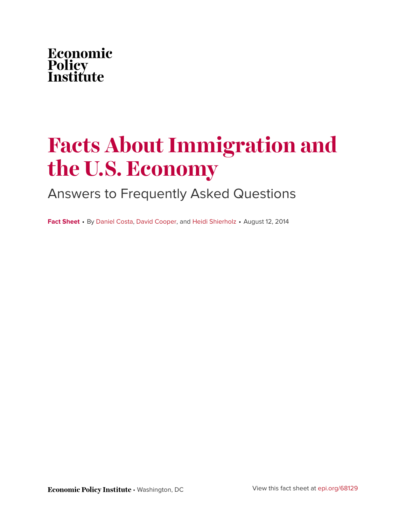

# **Facts About Immigration and the U.S. Economy**

## Answers to Frequently Asked Questions

**Fact Sheet** • By [Daniel Costa,](https://www.epi.org/people/daniel-costa/) [David Cooper](https://www.epi.org/people/david-cooper/), and [Heidi Shierholz](https://www.epi.org/people/heidi-shierholz/) • August 12, 2014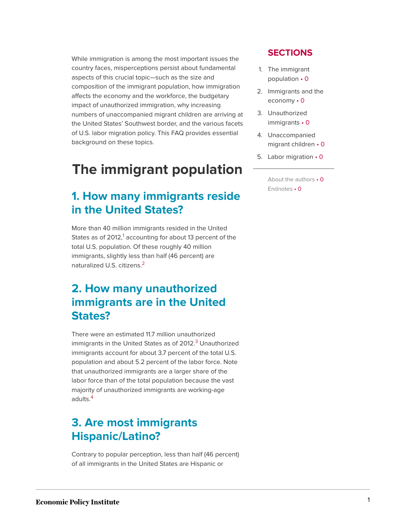While immigration is among the most important issues the country faces, misperceptions persist about fundamental aspects of this crucial topic—such as the size and composition of the immigrant population, how immigration affects the economy and the workforce, the budgetary impact of unauthorized immigration, why increasing numbers of unaccompanied migrant children are arriving at the United States' Southwest border, and the various facets of U.S. labor migration policy. This FAQ provides essential background on these topics.

## **The immigrant population**

### **1. How many immigrants reside in the United States?**

<span id="page-1-0"></span>More than 40 million immigrants resided in the United States as of  $2012<sup>1</sup>$  $2012<sup>1</sup>$  $2012<sup>1</sup>$  accounting for about 13 percent of the total U.S. population. Of these roughly 40 million immigrants, slightly less than half (46 percent) are naturalized U.S. citizens.[2](#page-21-1)

### <span id="page-1-1"></span>**2. How many unauthorized immigrants are in the United States?**

<span id="page-1-2"></span>There were an estimated 11.7 million unauthorized immigrants in the United States as of 2012.<sup>[3](#page-21-2)</sup> Unauthorized immigrants account for about 3.7 percent of the total U.S. population and about 5.2 percent of the labor force. Note that unauthorized immigrants are a larger share of the labor force than of the total population because the vast majority of unauthorized immigrants are working-age adults.[4](#page-21-3)

### <span id="page-1-3"></span>**3. Are most immigrants Hispanic/Latino?**

Contrary to popular perception, less than half (46 percent) of all immigrants in the United States are Hispanic or

### **SECTIONS**

- 1. The immigrant population • 0
- 2. Immigrants and the economy • 0
- 3. Unauthorized immigrants • 0
- 4. Unaccompanied migrant children • 0
- 5. Labor migration 0

About the authors • 0 Endnotes • 0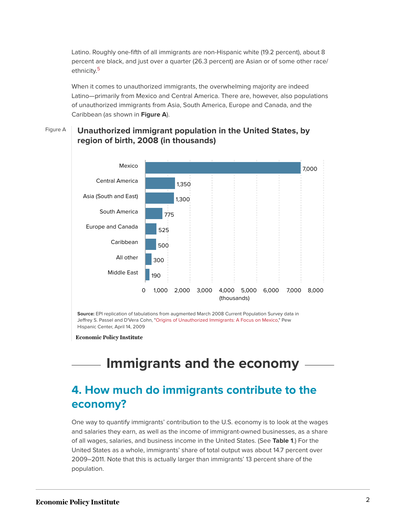<span id="page-2-0"></span>Latino. Roughly one-fifth of all immigrants are non-Hispanic white (19.2 percent), about 8 percent are black, and just over a quarter (26.3 percent) are Asian or of some other race/ ethnicity.<sup>[5](#page-21-4)</sup>

When it comes to unauthorized immigrants, the overwhelming majority are indeed Latino—primarily from Mexico and Central America. There are, however, also populations of unauthorized immigrants from Asia, South America, Europe and Canada, and the Caribbean (as shown in **Figure A**).

### Figure A **Unauthorized immigrant population in the United States, by region of birth, 2008 (in thousands)**



**Source:** EPI replication of tabulations from augmented March 2008 Current Population Survey data in Jeffrey S. Passel and D'Vera Cohn, ["Origins of Unauthorized Immigrants: A Focus on Mexico](http://www.pewhispanic.org/2009/04/14/v-origins-of-unauthorized-immigrants-a-focus-on-mexico/)," Pew Hispanic Center, April 14, 2009

**Economic Policy Institute** 

## **Immigrants and the economy**

### **4. How much do immigrants contribute to the economy?**

One way to quantify immigrants' contribution to the U.S. economy is to look at the wages and salaries they earn, as well as the income of immigrant-owned businesses, as a share of all wages, salaries, and business income in the United States. (See **Table 1**.) For the United States as a whole, immigrants' share of total output was about 14.7 percent over 2009–2011. Note that this is actually larger than immigrants' 13 percent share of the population.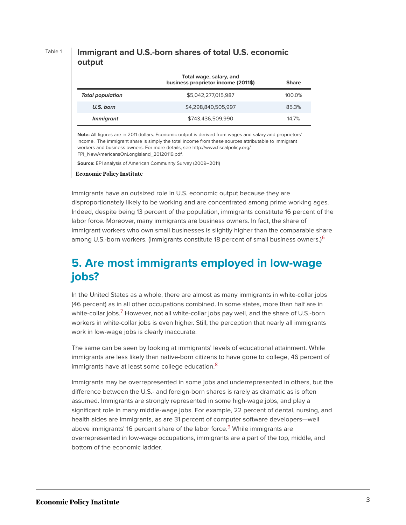### Table 1 **Immigrant and U.S.-born shares of total U.S. economic output**

|                         | Total wage, salary, and<br>business proprietor income (2011\$) | <b>Share</b> |
|-------------------------|----------------------------------------------------------------|--------------|
| <b>Total population</b> | \$5,042,277,015,987                                            | 100.0%       |
| U.S. born               | \$4,298,840,505,997                                            | 85.3%        |
| <i>Immigrant</i>        | \$743,436,509,990                                              | 14.7%        |

**Note:** All figures are in 2011 dollars. Economic output is derived from wages and salary and proprietors' income. The immigrant share is simply the total income from these sources attributable to immigrant workers and business owners. For more details, see http://www.fiscalpolicy.org/ FPI\_NewAmericansOnLongIsland\_20120119.pdf.

**Source:** EPI analysis of American Community Survey (2009–2011)

**Economic Policy Institute** 

Immigrants have an outsized role in U.S. economic output because they are disproportionately likely to be working and are concentrated among prime working ages. Indeed, despite being 13 percent of the population, immigrants constitute 16 percent of the labor force. Moreover, many immigrants are business owners. In fact, the share of immigrant workers who own small businesses is slightly higher than the comparable share among U.S.-born workers. (Immigrants constitute 18 percent of small business owners.)<sup>[6](#page-22-0)</sup>

### <span id="page-3-0"></span>**5. Are most immigrants employed in low-wage jobs?**

<span id="page-3-1"></span>In the United States as a whole, there are almost as many immigrants in white-collar jobs (46 percent) as in all other occupations combined. In some states, more than half are in white-collar jobs.<sup>[7](#page-22-1)</sup> However, not all white-collar jobs pay well, and the share of U.S.-born workers in white-collar jobs is even higher. Still, the perception that nearly all immigrants work in low-wage jobs is clearly inaccurate.

<span id="page-3-2"></span>The same can be seen by looking at immigrants' levels of educational attainment. While immigrants are less likely than native-born citizens to have gone to college, 46 percent of immigrants have at least some college education.<sup>[8](#page-22-2)</sup>

<span id="page-3-3"></span>Immigrants may be overrepresented in some jobs and underrepresented in others, but the difference between the U.S.- and foreign-born shares is rarely as dramatic as is often assumed. Immigrants are strongly represented in some high-wage jobs, and play a significant role in many middle-wage jobs. For example, 22 percent of dental, nursing, and health aides are immigrants, as are 31 percent of computer software developers—well above immigrants' 16 percent share of the labor force.<sup>[9](#page-22-3)</sup> While immigrants are overrepresented in low-wage occupations, immigrants are a part of the top, middle, and bottom of the economic ladder.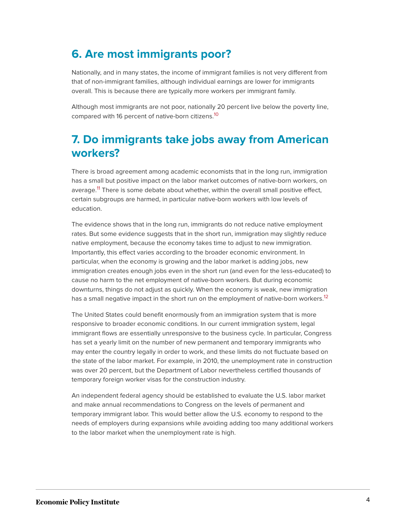### **6. Are most immigrants poor?**

Nationally, and in many states, the income of immigrant families is not very different from that of non-immigrant families, although individual earnings are lower for immigrants overall. This is because there are typically more workers per immigrant family.

<span id="page-4-0"></span>Although most immigrants are not poor, nationally 20 percent live below the poverty line, compared with 16 percent of native-born citizens.[10](#page-22-4)

### **7. Do immigrants take jobs away from American workers?**

<span id="page-4-1"></span>There is broad agreement among academic economists that in the long run, immigration has a small but positive impact on the labor market outcomes of native-born workers, on average.<sup>[11](#page-22-5)</sup> There is some debate about whether, within the overall small positive effect, certain subgroups are harmed, in particular native-born workers with low levels of education.

The evidence shows that in the long run, immigrants do not reduce native employment rates. But some evidence suggests that in the short run, immigration may slightly reduce native employment, because the economy takes time to adjust to new immigration. Importantly, this effect varies according to the broader economic environment. In particular, when the economy is growing and the labor market is adding jobs, new immigration creates enough jobs even in the short run (and even for the less-educated) to cause no harm to the net employment of native-born workers. But during economic downturns, things do not adjust as quickly. When the economy is weak, new immigration has a small negative impact in the short run on the employment of native-born workers.<sup>[12](#page-22-6)</sup>

<span id="page-4-2"></span>The United States could benefit enormously from an immigration system that is more responsive to broader economic conditions. In our current immigration system, legal immigrant flows are essentially unresponsive to the business cycle. In particular, Congress has set a yearly limit on the number of new permanent and temporary immigrants who may enter the country legally in order to work, and these limits do not fluctuate based on the state of the labor market. For example, in 2010, the unemployment rate in construction was over 20 percent, but the Department of Labor nevertheless certified thousands of temporary foreign worker visas for the construction industry.

An independent federal agency should be established to evaluate the U.S. labor market and make annual recommendations to Congress on the levels of permanent and temporary immigrant labor. This would better allow the U.S. economy to respond to the needs of employers during expansions while avoiding adding too many additional workers to the labor market when the unemployment rate is high.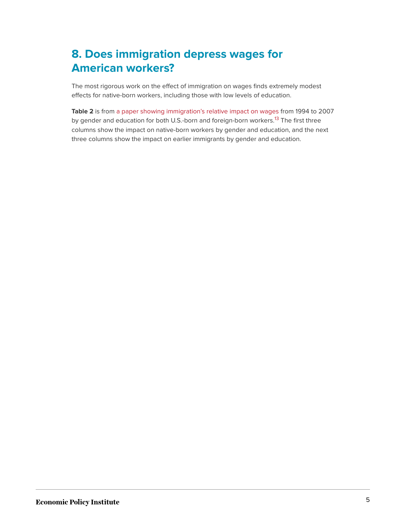## **8. Does immigration depress wages for American workers?**

The most rigorous work on the effect of immigration on wages finds extremely modest effects for native-born workers, including those with low levels of education.

<span id="page-5-0"></span>**Table 2** is from [a paper showing immigration's relative impact on wages](https://www.epi.org/publication/bp255/) from 1994 to 2007 by gender and education for both U.S.-born and foreign-born workers.<sup>[13](#page-22-7)</sup> The first three columns show the impact on native-born workers by gender and education, and the next three columns show the impact on earlier immigrants by gender and education.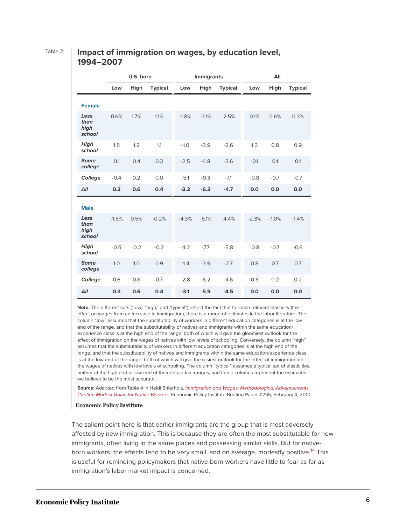### Table 2 **Impact of immigration on wages, by education level, 1994–2007**

|                                | U.S. born |        | <b>Immigrants</b> |         |         | All            |         |         |                |
|--------------------------------|-----------|--------|-------------------|---------|---------|----------------|---------|---------|----------------|
|                                | Low       | High   | <b>Typical</b>    | Low     | High    | <b>Typical</b> | Low     | High    | <b>Typical</b> |
| <b>Female</b>                  |           |        |                   |         |         |                |         |         |                |
| Less<br>than<br>high<br>school | 0.6%      | 1.7%   | 1.1%              | $-1.8%$ | $-3.1%$ | $-2.5%$        | 0.1%    | 0.6%    | 0.3%           |
| High<br>school                 | 1.5       | 1.2    | 1.1               | $-1.0$  | $-3.9$  | $-2.6$         | 1.3     | 0.8     | 0.9            |
| <b>Some</b><br>college         | 0.1       | 0.4    | 0.3               | $-2.5$  | $-4.8$  | $-3.6$         | $-0.1$  | 0.1     | 0.1            |
| College                        | $-0.4$    | 0.2    | 0.0               | $-5.1$  | $-9.3$  | $-7.1$         | $-0.8$  | $-0.7$  | $-0.7$         |
| All                            | 0.3       | 0.6    | 0.4               | $-3.2$  | $-6.3$  | $-4.7$         | 0.0     | 0.0     | 0.0            |
| <b>Male</b>                    |           |        |                   |         |         |                |         |         |                |
| Less<br>than<br>high<br>school | $-1.5%$   | 0.5%   | $-0.2%$           | $-4.3%$ | $-5.1%$ | $-4.4%$        | $-2.3%$ | $-1.0%$ | $-1.4%$        |
| <b>High</b><br>school          | $-0.5$    | $-0.2$ | $-0.2$            | $-4.2$  | $-7.7$  | $-5.8$         | $-0.8$  | $-0.7$  | $-0.6$         |
| <b>Some</b><br>college         | 1.0       | 1.0    | 0.9               | $-1.4$  | $-3.9$  | $-2.7$         | 0.8     | 0.7     | 0.7            |
| College                        | 0.6       | 0.8    | 0.7               | $-2.8$  | $-6.2$  | $-4.6$         | 0.3     | 0.2     | 0.2            |
| All                            | 0.3       | 0.6    | 0.4               | $-3.1$  | $-5.9$  | $-4.5$         | 0.0     | 0.0     | 0.0            |

**Note:** The different sets ("low," "high," and "typical") reflect the fact that for each relevant elasticity (the effect on wages from an increase in immigration), there is a range of estimates in the labor literature. The column "low" assumes that the substitutability of workers in different education categories is at the low end of the range, and that the substitutability of natives and immigrants within the same education/ experience class is at the high end of the range, both of which will give the gloomiest outlook for the effect of immigration on the wages of natives with low levels of schooling. Conversely, the column "high" assumes that the substitutability of workers in different education categories is at the high end of the range, and that the substitutability of natives and immigrants within the same education/experience class is at the low end of the range, both of which will give the rosiest outlook for the effect of immigration on the wages of natives with low levels of schooling. The column "typical" assumes a typical set of elasticities, neither at the high end or low end of their respective ranges, and these columns represent the estimates we believe to be the most accurate.

**Source:** Adapted from Table 4 in Heidi Shierholz, [I](https://www.epi.org/publication/bp255/)mmigration and Wages: [Methodological Advancements](https://www.epi.org/publication/bp255/) [Confirm Modest Gains for Native Workers](https://www.epi.org/publication/bp255/), Economic Policy Institute Briefing Paper #255, February 4, 2010

### **Economic Policy Institute**

<span id="page-6-0"></span>The salient point here is that earlier immigrants are the group that is most adversely affected by new immigration. This is because they are often the most substitutable for new immigrants, often living in the same places and possessing similar skills. But for native-born workers, the effects tend to be very small, and on average, modestly positive.<sup>[14](#page-22-8)</sup> This is useful for reminding policymakers that native-born workers have little to fear as far as immigration's labor market impact is concerned.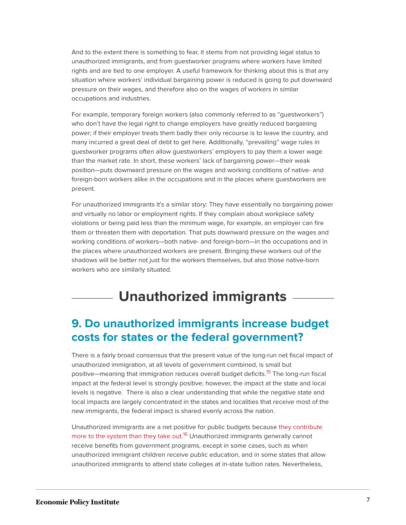And to the extent there is something to fear, it stems from not providing legal status to unauthorized immigrants, and from guestworker programs where workers have limited rights and are tied to one employer. A useful framework for thinking about this is that any situation where workers' individual bargaining power is reduced is going to put downward pressure on their wages, and therefore also on the wages of workers in similar occupations and industries.

For example, temporary foreign workers (also commonly referred to as "guestworkers") who don't have the legal right to change employers have greatly reduced bargaining power; if their employer treats them badly their only recourse is to leave the country, and many incurred a great deal of debt to get here. Additionally, "prevailing" wage rules in guestworker programs often allow guestworkers' employers to pay them a lower wage than the market rate. In short, these workers' lack of bargaining power—their weak position—puts downward pressure on the wages and working conditions of native- and foreign-born workers alike in the occupations and in the places where guestworkers are present.

For unauthorized immigrants it's a similar story: They have essentially no bargaining power and virtually no labor or employment rights. If they complain about workplace safety violations or being paid less than the minimum wage, for example, an employer can fire them or threaten them with deportation. That puts downward pressure on the wages and working conditions of workers—both native- and foreign-born—in the occupations and in the places where unauthorized workers are present. Bringing these workers out of the shadows will be better not just for the workers themselves, but also those native-born workers who are similarly situated.

## **Unauthorized immigrants**

### **9. Do unauthorized immigrants increase budget costs for states or the federal government?**

<span id="page-7-0"></span>There is a fairly broad consensus that the present value of the long-run net fiscal impact of unauthorized immigration, at all levels of government combined, is small but positive—meaning that immigration reduces overall budget deficits.<sup>[15](#page-22-9)</sup> The long-run fiscal impact at the federal level is strongly positive; however, the impact at the state and local levels is negative. There is also a clear understanding that while the negative state and local impacts are largely concentrated in the states and localities that receive most of the new immigrants, the federal impact is shared evenly across the nation.

<span id="page-7-1"></span>Unauthorized immigrants are a net positive for public budgets because [they contribute](http://www.kaiserhealthnews.org/Stories/2013/May/29/immigrants-Medicare-health-costs.aspx?utm_source=feedburner&utm_medium=feed&utm_campaign=Feed%3A+khn%2Fstories%2Ffulltext+%28Kaiser+Health+News+-+Stories+%28Full+text%29%29&utm_content=Google+Reader&wpisrc=nl_wonk_b) [more to the system than they take out.](http://www.kaiserhealthnews.org/Stories/2013/May/29/immigrants-Medicare-health-costs.aspx?utm_source=feedburner&utm_medium=feed&utm_campaign=Feed%3A+khn%2Fstories%2Ffulltext+%28Kaiser+Health+News+-+Stories+%28Full+text%29%29&utm_content=Google+Reader&wpisrc=nl_wonk_b)<sup>[16](#page-22-10)</sup> Unauthorized immigrants generally cannot receive benefits from government programs, except in some cases, such as when unauthorized immigrant children receive public education, and in some states that allow unauthorized immigrants to attend state colleges at in-state tuition rates. Nevertheless,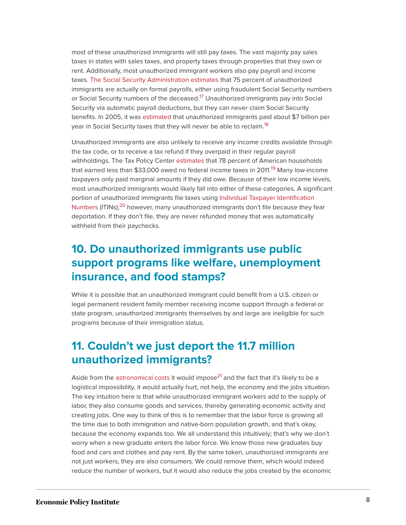most of these unauthorized immigrants will still pay taxes. The vast majority pay sales taxes in states with sales taxes, and property taxes through properties that they own or rent. Additionally, most unauthorized immigrant workers also pay payroll and income taxes. [The Social Security Administration estimates](https://www.nytimes.com/2005/04/05/business/05immigration.html?pagewanted=1&_r=1) that 75 percent of unauthorized immigrants are actually on formal payrolls, either using fraudulent Social Security numbers or Social Security numbers of the deceased.<sup>[17](#page-22-11)</sup> Unauthorized immigrants pay into Social Security via automatic payroll deductions, but they can never claim Social Security benefits. In 2005, it was [estimated](https://www.nytimes.com/2005/04/05/business/05immigration.html?pagewanted=1&_r=3&) that unauthorized immigrants paid about \$7 billion per year in Social Security taxes that they will never be able to reclaim.<sup>[18](#page-22-12)</sup>

<span id="page-8-2"></span><span id="page-8-1"></span><span id="page-8-0"></span>Unauthorized immigrants are also unlikely to receive any income credits available through the tax code, or to receive a tax refund if they overpaid in their regular payroll withholdings. The Tax Policy Center [estimates](http://www.taxpolicycenter.org/numbers/displayatab.cfm?DocID=3057) that 78 percent of American households that earned less than \$33,000 owed no federal income taxes in 2011.<sup>[19](#page-22-13)</sup> Many low-income taxpayers only paid marginal amounts if they did owe. Because of their low income levels, most unauthorized immigrants would likely fall into either of these categories. A significant portion of unauthorized immigrants file taxes using [Individual Taxpayer Identification](https://www.nytimes.com/2007/04/16/nyregion/16immig.html?pagewanted=print) [Numbers](https://www.nytimes.com/2007/04/16/nyregion/16immig.html?pagewanted=print) (ITINs);<sup>[20](#page-22-14)</sup> however, many unauthorized immigrants don't file because they fear deportation. If they don't file, they are never refunded money that was automatically withheld from their paychecks.

### <span id="page-8-3"></span>**10. Do unauthorized immigrants use public support programs like welfare, unemployment insurance, and food stamps?**

While it is possible that an unauthorized immigrant could benefit from a U.S. citizen or legal permanent resident family member receiving income support through a federal or state program, unauthorized immigrants themselves by and large are ineligible for such programs because of their immigration status.

### **11. Couldn't we just deport the 11.7 million unauthorized immigrants?**

<span id="page-8-4"></span>Aside from the [astronomical costs](http://americanprogress.org/issues/immigration/report/2010/03/19/7470/the-costs-of-mass-deportation/) it would impose<sup>[21](#page-22-15)</sup> and the fact that it's likely to be a logistical impossibility, it would actually hurt, not help, the economy and the jobs situation. The key intuition here is that while unauthorized immigrant workers add to the supply of labor, they also consume goods and services, thereby generating economic activity and creating jobs. One way to think of this is to remember that the labor force is growing all the time due to both immigration and native-born population growth, and that's okay, because the economy expands too. We all understand this intuitively; that's why we don't worry when a new graduate enters the labor force. We know those new graduates buy food and cars and clothes and pay rent. By the same token, unauthorized immigrants are not just workers, they are also consumers. We could remove them, which would indeed reduce the number of workers, but it would also reduce the jobs created by the economic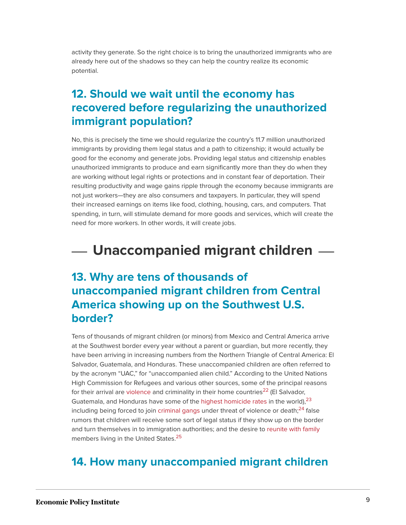activity they generate. So the right choice is to bring the unauthorized immigrants who are already here out of the shadows so they can help the country realize its economic potential.

### **12. Should we wait until the economy has recovered before regularizing the unauthorized immigrant population?**

No, this is precisely the time we should regularize the country's 11.7 million unauthorized immigrants by providing them legal status and a path to citizenship; it would actually be good for the economy and generate jobs. Providing legal status and citizenship enables unauthorized immigrants to produce and earn significantly more than they do when they are working without legal rights or protections and in constant fear of deportation. Their resulting productivity and wage gains ripple through the economy because immigrants are not just workers—they are also consumers and taxpayers. In particular, they will spend their increased earnings on items like food, clothing, housing, cars, and computers. That spending, in turn, will stimulate demand for more goods and services, which will create the need for more workers. In other words, it will create jobs.

## **Unaccompanied migrant children**

### **13. Why are tens of thousands of unaccompanied migrant children from Central America showing up on the Southwest U.S. border?**

<span id="page-9-0"></span>Tens of thousands of migrant children (or minors) from Mexico and Central America arrive at the Southwest border every year without a parent or guardian, but more recently, they have been arriving in increasing numbers from the Northern Triangle of Central America: El Salvador, Guatemala, and Honduras. These unaccompanied children are often referred to by the acronym "UAC," for "unaccompanied alien child." According to the United Nations High Commission for Refugees and various other sources, some of the principal reasons for their arrival are [violence](http://www.americanprogress.org/issues/immigration/news/2014/07/08/93370/statistical-analysis-shows-that-violence-not-deferred-action-is-behind-the-surge-of-unaccompanied-children-crossing-the-border/) and criminality in their home countries<sup>[22](#page-23-0)</sup> (El Salvador, Guatemala, and Honduras have some of the [highest homicide rates](http://acaps.org/en/news/other-situations-of-violence-in-the-northern-triangle-of-central-america/1) in the world),  $23$ including being forced to join [criminal gangs](https://www.nytimes.com/2014/07/10/world/americas/fleeing-gangs-children-head-to-us-border.html?hp&action=click&pgtype=Homepage&version=HpSum&module=second-column-region®ion=top-news&WT.nav=top-news) under threat of violence or death; $^{24}$  $^{24}$  $^{24}$  false rumors that children will receive some sort of legal status if they show up on the border and turn themselves in to immigration authorities; and the desire to [reunite with family](http://www.politico.com/story/2014/05/flood-of-child-migrants-a-neglected-challenge-107198_Page2.html) members living in the United States.<sup>[25](#page-23-3)</sup>

### <span id="page-9-3"></span><span id="page-9-2"></span><span id="page-9-1"></span>**14. How many unaccompanied migrant children**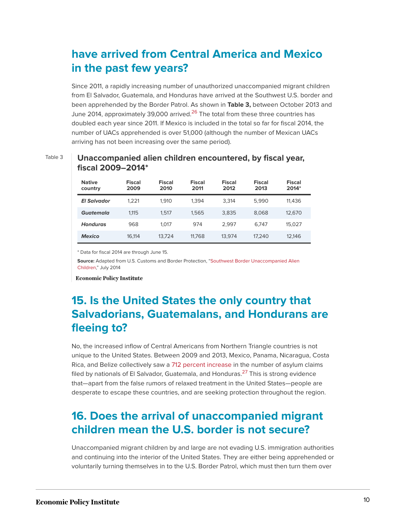## **have arrived from Central America and Mexico in the past few years?**

Since 2011, a rapidly increasing number of unauthorized unaccompanied migrant children from El Salvador, Guatemala, and Honduras have arrived at the Southwest U.S. border and been apprehended by the Border Patrol. As shown in **Table 3,** between October 2013 and June 2014, approximately 39,000 arrived.<sup>[26](#page-23-4)</sup> The total from these three countries has doubled each year since 2011. If Mexico is included in the total so far for fiscal 2014, the number of UACs apprehended is over 51,000 (although the number of Mexican UACs arriving has not been increasing over the same period).

### **Native country Fiscal 2009 Fiscal 2010 Fiscal 2011 Fiscal 2012 Fiscal 2013 Fiscal 2014\*** *El Salvador* 1,221 1,910 1,394 3,314 5,990 11,436 *Guatemala* 1,115 1,517 1,565 3,835 8,068 12,670 *Honduras* 968 1,017 974 2,997 6,747 15,027 *Mexico* 16,114 13,724 11,768 13,974 17,240 12,146

### <span id="page-10-0"></span>Table 3 **Unaccompanied alien children encountered, by fiscal year,**

\* Data for fiscal 2014 are through June 15.

**Source:** Adapted from U.S. Customs and Border Protection, "[Southwest Border Unaccompanied Alien](https://www.cbp.gov/newsroom/stats/southwest-border-unaccompanied-children) [Children,](https://www.cbp.gov/newsroom/stats/southwest-border-unaccompanied-children)" July 2014

**Economic Policy Institute** 

**fiscal 2009–2014\***

## **15. Is the United States the only country that Salvadorians, Guatemalans, and Hondurans are fleeing to?**

<span id="page-10-1"></span>No, the increased inflow of Central Americans from Northern Triangle countries is not unique to the United States. Between 2009 and 2013, Mexico, Panama, Nicaragua, Costa Rica, and Belize collectively saw a [712 percent increase](http://www.wola.org/commentary/3_myths_about_central_american_migration_to_the_us) in the number of asylum claims filed by nationals of El Salvador, Guatemala, and Honduras.<sup>[27](#page-23-5)</sup> This is strong evidence that—apart from the false rumors of relaxed treatment in the United States—people are desperate to escape these countries, and are seeking protection throughout the region.

### **16. Does the arrival of unaccompanied migrant children mean the U.S. border is not secure?**

Unaccompanied migrant children by and large are not evading U.S. immigration authorities and continuing into the interior of the United States. They are either being apprehended or voluntarily turning themselves in to the U.S. Border Patrol, which must then turn them over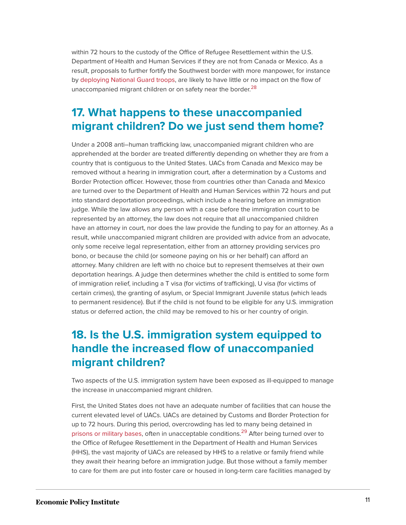within 72 hours to the custody of the Office of Refugee Resettlement within the U.S. Department of Health and Human Services if they are not from Canada or Mexico. As a result, proposals to further fortify the Southwest border with more manpower, for instance by [deploying National Guard troops,](http://www.huffingtonpost.com/2014/07/04/rick-perry-border_n_5556685.html) are likely to have little or no impact on the flow of unaccompanied migrant children or on safety near the border.<sup>[28](#page-23-6)</sup>

### <span id="page-11-0"></span>**17. What happens to these unaccompanied migrant children? Do we just send them home?**

Under a 2008 anti–human trafficking law, unaccompanied migrant children who are apprehended at the border are treated differently depending on whether they are from a country that is contiguous to the United States. UACs from Canada and Mexico may be removed without a hearing in immigration court, after a determination by a Customs and Border Protection officer. However, those from countries other than Canada and Mexico are turned over to the Department of Health and Human Services within 72 hours and put into standard deportation proceedings, which include a hearing before an immigration judge. While the law allows any person with a case before the immigration court to be represented by an attorney, the law does not require that all unaccompanied children have an attorney in court, nor does the law provide the funding to pay for an attorney. As a result, while unaccompanied migrant children are provided with advice from an advocate, only some receive legal representation, either from an attorney providing services pro bono, or because the child (or someone paying on his or her behalf) can afford an attorney. Many children are left with no choice but to represent themselves at their own deportation hearings. A judge then determines whether the child is entitled to some form of immigration relief, including a T visa (for victims of trafficking), U visa (for victims of certain crimes), the granting of asylum, or Special Immigrant Juvenile status (which leads to permanent residence). But if the child is not found to be eligible for any U.S. immigration status or deferred action, the child may be removed to his or her country of origin.

### **18. Is the U.S. immigration system equipped to handle the increased flow of unaccompanied migrant children?**

Two aspects of the U.S. immigration system have been exposed as ill-equipped to manage the increase in unaccompanied migrant children.

<span id="page-11-1"></span>First, the United States does not have an adequate number of facilities that can house the current elevated level of UACs. UACs are detained by Customs and Border Protection for up to 72 hours. During this period, overcrowding has led to many being detained in [prisons or military bases,](https://www.vox.com/2014/6/16/5813406/explain-child-migrant-crisis-central-america-unaccompanied-children-immigrants-daca/in/5577523) often in unacceptable conditions.<sup>[29](#page-23-7)</sup> After being turned over to the Office of Refugee Resettlement in the Department of Health and Human Services (HHS), the vast majority of UACs are released by HHS to a relative or family friend while they await their hearing before an immigration judge. But those without a family member to care for them are put into foster care or housed in long-term care facilities managed by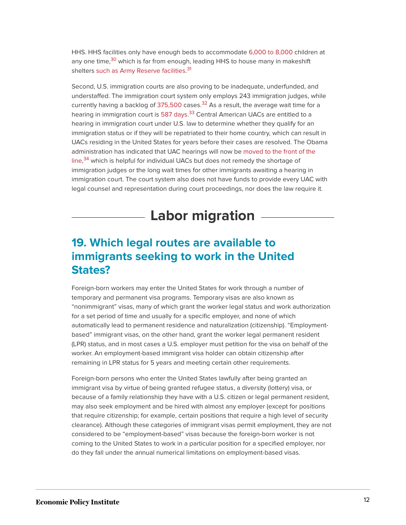<span id="page-12-1"></span><span id="page-12-0"></span>HHS. HHS facilities only have enough beds to accommodate [6,000 to 8,000](http://cdn1.vox-cdn.com/imported_assets/2246183/acf-disc-chart.jpg) children at any one time,<sup>[30](#page-23-8)</sup> which is far from enough, leading HHS to house many in makeshift shelters [such as Army Reserve facilities.](https://www.washingtonpost.com/local/md-politics/graffiti-on-proposed-shelter-for-immigrant-children-in-maryland-no-illeagles-here/2014/07/14/cc89610a-0b89-11e4-b8e5-d0de80767fc2_story.html)<sup>[31](#page-23-9)</sup>

<span id="page-12-4"></span><span id="page-12-3"></span><span id="page-12-2"></span>Second, U.S. immigration courts are also proving to be inadequate, underfunded, and understaffed. The immigration court system only employs 243 immigration judges, while currently having a backlog of  $375,500$  cases.<sup>[32](#page-23-10)</sup> As a result, the average wait time for a hearing in immigration court is [587 days.](http://trac.syr.edu/phptools/immigration/court_backlog/apprep_backlog_avgdays.php)<sup>[33](#page-23-11)</sup> Central American UACs are entitled to a hearing in immigration court under U.S. law to determine whether they qualify for an immigration status or if they will be repatriated to their home country, which can result in UACs residing in the United States for years before their cases are resolved. The Obama administration has indicated that UAC hearings will now be [moved to the front of the](https://www.nytimes.com/2014/07/09/us/us-adjusts-court-flow-to-meet-rise-in-migrants.html?smid=tw-share) [line,](https://www.nytimes.com/2014/07/09/us/us-adjusts-court-flow-to-meet-rise-in-migrants.html?smid=tw-share)<sup>[34](#page-23-12)</sup> which is helpful for individual UACs but does not remedy the shortage of immigration judges or the long wait times for other immigrants awaiting a hearing in immigration court. The court system also does not have funds to provide every UAC with legal counsel and representation during court proceedings, nor does the law require it.

## **Labor migration**

### **19. Which legal routes are available to immigrants seeking to work in the United States?**

Foreign-born workers may enter the United States for work through a number of temporary and permanent visa programs. Temporary visas are also known as "nonimmigrant" visas, many of which grant the worker legal status and work authorization for a set period of time and usually for a specific employer, and none of which automatically lead to permanent residence and naturalization (citizenship). "Employmentbased" immigrant visas, on the other hand, grant the worker legal permanent resident (LPR) status, and in most cases a U.S. employer must petition for the visa on behalf of the worker. An employment-based immigrant visa holder can obtain citizenship after remaining in LPR status for 5 years and meeting certain other requirements.

Foreign-born persons who enter the United States lawfully after being granted an immigrant visa by virtue of being granted refugee status, a diversity (lottery) visa, or because of a family relationship they have with a U.S. citizen or legal permanent resident, may also seek employment and be hired with almost any employer (except for positions that require citizenship; for example, certain positions that require a high level of security clearance). Although these categories of immigrant visas permit employment, they are not considered to be "employment-based" visas because the foreign-born worker is not coming to the United States to work in a particular position for a specified employer, nor do they fall under the annual numerical limitations on employment-based visas.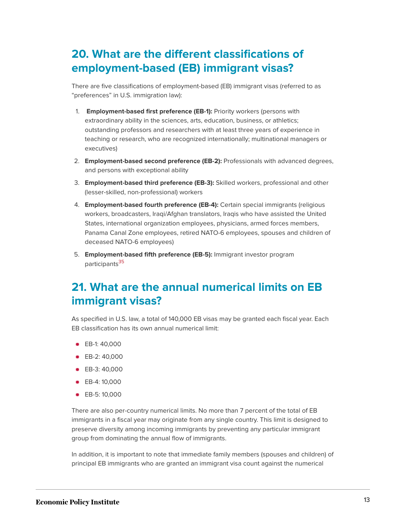## **20. What are the different classifications of employment-based (EB) immigrant visas?**

There are five classifications of employment-based (EB) immigrant visas (referred to as "preferences" in U.S. immigration law):

- 1. **Employment-based first preference (EB-1):** Priority workers (persons with extraordinary ability in the sciences, arts, education, business, or athletics; outstanding professors and researchers with at least three years of experience in teaching or research, who are recognized internationally; multinational managers or executives)
- 2. **Employment-based second preference (EB-2):** Professionals with advanced degrees, and persons with exceptional ability
- 3. **Employment-based third preference (EB-3):** Skilled workers, professional and other (lesser-skilled, non-professional) workers
- 4. **Employment-based fourth preference (EB-4):** Certain special immigrants (religious workers, broadcasters, Iraqi/Afghan translators, Iraqis who have assisted the United States, international organization employees, physicians, armed forces members, Panama Canal Zone employees, retired NATO-6 employees, spouses and children of deceased NATO-6 employees)
- 5. **Employment-based fifth preference (EB-5):** Immigrant investor program participants<sup>[35](#page-23-13)</sup>

### <span id="page-13-0"></span>**21. What are the annual numerical limits on EB immigrant visas?**

As specified in U.S. law, a total of 140,000 EB visas may be granted each fiscal year. Each EB classification has its own annual numerical limit:

- **EB-1: 40,000**
- EB-2: 40,000
- **EB-3: 40,000**
- **EB-4: 10,000**
- EB-5: 10,000

There are also per-country numerical limits. No more than 7 percent of the total of EB immigrants in a fiscal year may originate from any single country. This limit is designed to preserve diversity among incoming immigrants by preventing any particular immigrant group from dominating the annual flow of immigrants.

In addition, it is important to note that immediate family members (spouses and children) of principal EB immigrants who are granted an immigrant visa count against the numerical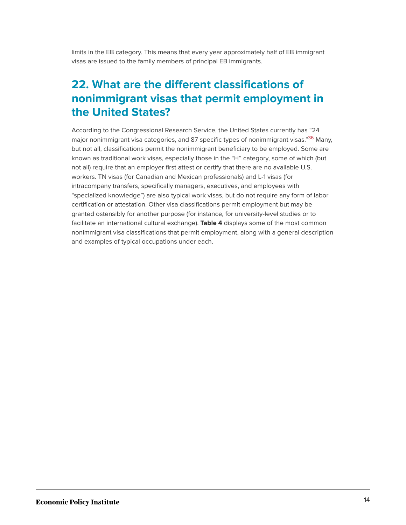limits in the EB category. This means that every year approximately half of EB immigrant visas are issued to the family members of principal EB immigrants.

## **22. What are the different classifications of nonimmigrant visas that permit employment in the United States?**

<span id="page-14-0"></span>According to the Congressional Research Service, the United States currently has "24 major nonimmigrant visa categories, and 87 specific types of nonimmigrant visas."<sup>[36](#page-24-0)</sup> Many, but not all, classifications permit the nonimmigrant beneficiary to be employed. Some are known as traditional work visas, especially those in the "H" category, some of which (but not all) require that an employer first attest or certify that there are no available U.S. workers. TN visas (for Canadian and Mexican professionals) and L-1 visas (for intracompany transfers, specifically managers, executives, and employees with "specialized knowledge") are also typical work visas, but do not require any form of labor certification or attestation. Other visa classifications permit employment but may be granted ostensibly for another purpose (for instance, for university-level studies or to facilitate an international cultural exchange). **Table 4** displays some of the most common nonimmigrant visa classifications that permit employment, along with a general description and examples of typical occupations under each.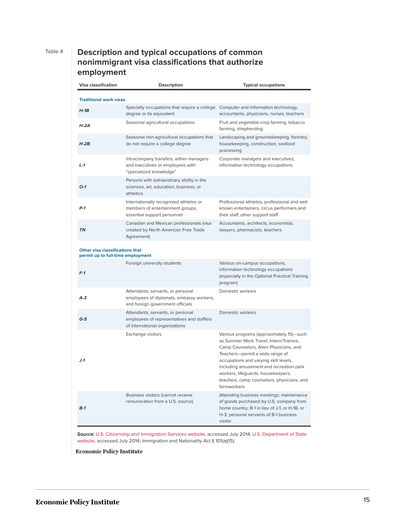### Table 4 **Description and typical occupations of common nonimmigrant visa classifications that authorize employment**

| <b>Visa classification</b>                                           | <b>Description</b>                                                                                                | <b>Typical occupations</b>                                                                                                                                                                                                                                                                                                                             |  |  |
|----------------------------------------------------------------------|-------------------------------------------------------------------------------------------------------------------|--------------------------------------------------------------------------------------------------------------------------------------------------------------------------------------------------------------------------------------------------------------------------------------------------------------------------------------------------------|--|--|
| <b>Traditional work visas</b>                                        |                                                                                                                   |                                                                                                                                                                                                                                                                                                                                                        |  |  |
| $H-1B$                                                               | Specialty occupations that require a college<br>degree or its equivalent                                          | Computer and information technology,<br>accountants, physicians, nurses, teachers                                                                                                                                                                                                                                                                      |  |  |
| $H - 2A$                                                             | Seasonal agricultural occupations                                                                                 | Fruit and vegetable crop farming, tobacco<br>farming, shepherding                                                                                                                                                                                                                                                                                      |  |  |
| $H-2B$                                                               | Seasonal non-agricultural occupations that<br>do not require a college degree                                     | Landscaping and groundskeeping, forestry,<br>housekeeping, construction, seafood<br>processing                                                                                                                                                                                                                                                         |  |  |
| $L - 1$                                                              | Intracompany transfers, either managers<br>and executives or employees with<br>"specialized knowledge"            | Corporate managers and executives,<br>information technology occupations                                                                                                                                                                                                                                                                               |  |  |
| $O-1$                                                                | Persons with extraordinary ability in the<br>sciences, art, education, business, or<br>athletics                  |                                                                                                                                                                                                                                                                                                                                                        |  |  |
| $P-1$                                                                | Internationally recognized athletes or<br>members of entertainment groups;<br>essential support personnel         | Professional athletes, professional and well<br>known entertainers, circus performers and<br>their staff, other support staff                                                                                                                                                                                                                          |  |  |
| <b>TN</b>                                                            | Canadian and Mexican professionals (visa<br>created by North American Free Trade<br>Agreement)                    | Accountants, architects, economists,<br>lawyers, pharmacists, teachers                                                                                                                                                                                                                                                                                 |  |  |
| Other visa classifications that<br>permit up to full-time employment |                                                                                                                   |                                                                                                                                                                                                                                                                                                                                                        |  |  |
| $F-1$                                                                | Foreign university students                                                                                       | Various on-campus occupations,<br>information technology occupations<br>(especially in the Optional Practical Training<br>program)                                                                                                                                                                                                                     |  |  |
| A-3                                                                  | Attendants, servants, or personal<br>employees of diplomats, embassy workers,<br>and foreign government officials | Domestic workers                                                                                                                                                                                                                                                                                                                                       |  |  |
| $G-5$                                                                | Attendants, servants, or personal<br>employees of representatives and staffers<br>of international organizations  | Domestic workers                                                                                                                                                                                                                                                                                                                                       |  |  |
| $J-1$                                                                | Exchange visitors                                                                                                 | Various programs (approximately 15)-such<br>as Summer Work Travel, Intern/Trainee,<br>Camp Counselors, Alien Physicians, and<br>Teachers-permit a wide range of<br>occupations and varying skill levels,<br>including amusement and recreation park<br>workers, lifeguards, housekeepers,<br>teachers, camp counselors, physicians, and<br>farmworkers |  |  |
| $B-1$                                                                | Business visitors (cannot receive<br>remuneration from a U.S. source)                                             | Attending business meetings; maintenance<br>of goods purchased by U.S. company from<br>home country; B-1 in lieu of J-1, or H-1B, or<br>H-3; personal servants of B-1 business<br>visitor                                                                                                                                                              |  |  |

**Source:** [U.S. Citizenship and Immigration Services website](www.uscis.gov), accessed July 2014; [U.S. Department of State](www.state.gov) [website,](www.state.gov) accessed July 2014; Immigration and Nationality Act § 101(a)(15)

**Economic Policy Institute**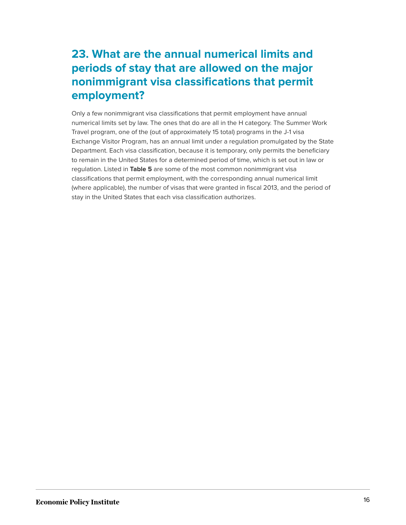## **23. What are the annual numerical limits and periods of stay that are allowed on the major nonimmigrant visa classifications that permit employment?**

Only a few nonimmigrant visa classifications that permit employment have annual numerical limits set by law. The ones that do are all in the H category. The Summer Work Travel program, one of the (out of approximately 15 total) programs in the J-1 visa Exchange Visitor Program, has an annual limit under a regulation promulgated by the State Department. Each visa classification, because it is temporary, only permits the beneficiary to remain in the United States for a determined period of time, which is set out in law or regulation. Listed in **Table 5** are some of the most common nonimmigrant visa classifications that permit employment, with the corresponding annual numerical limit (where applicable), the number of visas that were granted in fiscal 2013, and the period of stay in the United States that each visa classification authorizes.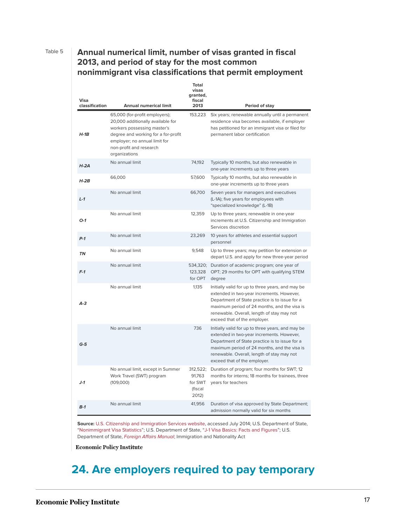### Table 5 **Annual numerical limit, number of visas granted in fiscal 2013, and period of stay for the most common nonimmigrant visa classifications that permit employment**

| Visa<br>classification | <b>Annual numerical limit</b>                                                                                                                                                                                          | Total<br>visas<br>granted,<br>fiscal<br>2013      | Period of stay                                                                                                                                                                                                                                                                 |
|------------------------|------------------------------------------------------------------------------------------------------------------------------------------------------------------------------------------------------------------------|---------------------------------------------------|--------------------------------------------------------------------------------------------------------------------------------------------------------------------------------------------------------------------------------------------------------------------------------|
| $H-1B$                 | 65,000 (for-profit employers);<br>20,000 additionally available for<br>workers possessing master's<br>degree and working for a for-profit<br>employer; no annual limit for<br>non-profit and research<br>organizations | 153,223                                           | Six years; renewable annually until a permanent<br>residence visa becomes available, if employer<br>has petitioned for an immigrant visa or filed for<br>permanent labor certification                                                                                         |
| $H - 2A$               | No annual limit                                                                                                                                                                                                        | 74,192                                            | Typically 10 months, but also renewable in<br>one-year increments up to three years                                                                                                                                                                                            |
| $H-2B$                 | 66,000                                                                                                                                                                                                                 | 57,600                                            | Typically 10 months, but also renewable in<br>one-year increments up to three years                                                                                                                                                                                            |
| $L-1$                  | No annual limit                                                                                                                                                                                                        | 66,700                                            | Seven years for managers and executives<br>(L-1A); five years for employees with<br>"specialized knowledge" (L-1B)                                                                                                                                                             |
| $O-1$                  | No annual limit                                                                                                                                                                                                        | 12,359                                            | Up to three years; renewable in one-year<br>increments at U.S. Citizenship and Immigration<br>Services discretion                                                                                                                                                              |
| $P-1$                  | No annual limit                                                                                                                                                                                                        | 23,269                                            | 10 years for athletes and essential support<br>personnel                                                                                                                                                                                                                       |
| <b>TN</b>              | No annual limit                                                                                                                                                                                                        | 9,548                                             | Up to three years; may petition for extension or<br>depart U.S. and apply for new three-year period                                                                                                                                                                            |
| $F-1$                  | No annual limit                                                                                                                                                                                                        | for OPT                                           | 534,320; Duration of academic program; one year of<br>123,328 OPT; 29 months for OPT with qualifying STEM<br>degree                                                                                                                                                            |
| $A-3$                  | No annual limit                                                                                                                                                                                                        | 1.135                                             | Initially valid for up to three years, and may be<br>extended in two-year increments. However,<br>Department of State practice is to issue for a<br>maximum period of 24 months, and the visa is<br>renewable. Overall, length of stay may not<br>exceed that of the employer. |
| $G-5$                  | No annual limit                                                                                                                                                                                                        | 736                                               | Initially valid for up to three years, and may be<br>extended in two-year increments. However,<br>Department of State practice is to issue for a<br>maximum period of 24 months, and the visa is<br>renewable. Overall, length of stay may not<br>exceed that of the employer. |
| $J-1$                  | No annual limit, except in Summer<br>Work Travel (SWT) program<br>(109,000)                                                                                                                                            | 312,522;<br>91,763<br>for SWT<br>(fiscal<br>2012) | Duration of program; four months for SWT; 12<br>months for interns; 18 months for trainees, three<br>years for teachers                                                                                                                                                        |
| $B-1$                  | No annual limit                                                                                                                                                                                                        | 41,956                                            | Duration of visa approved by State Department;<br>admission normally valid for six months                                                                                                                                                                                      |

**Source:** U.S. [Citizenship and Immigration Services website](www.uscis.gov), accessed July 2014; U.S. Department of State, "[Nonimmigrant Visa Statistics"](http://travel.state.gov/content/visas/english/law-and-policy/statistics/non-immigrant-visas.html); U.S. Department of State, "[J-1 Visa Basics: Facts and Figures"](http://travel.state.gov/content/visas/english/law-and-policy/statistics/non-immigrant-visas.html); U.S. Department of State, [Foreign Affairs Manual](http://travel.state.gov/content/visas/english/law-and-policy/statistics/non-immigrant-visas.html); Immigration and Nationality Act

**Economic Policy Institute** 

### **24. Are employers required to pay temporary**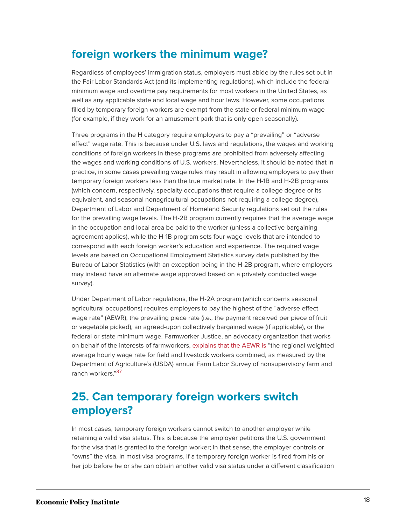### **foreign workers the minimum wage?**

Regardless of employees' immigration status, employers must abide by the rules set out in the Fair Labor Standards Act (and its implementing regulations), which include the federal minimum wage and overtime pay requirements for most workers in the United States, as well as any applicable state and local wage and hour laws. However, some occupations filled by temporary foreign workers are exempt from the state or federal minimum wage (for example, if they work for an amusement park that is only open seasonally).

Three programs in the H category require employers to pay a "prevailing" or "adverse effect" wage rate. This is because under U.S. laws and regulations, the wages and working conditions of foreign workers in these programs are prohibited from adversely affecting the wages and working conditions of U.S. workers. Nevertheless, it should be noted that in practice, in some cases prevailing wage rules may result in allowing employers to pay their temporary foreign workers less than the true market rate. In the H-1B and H-2B programs (which concern, respectively, specialty occupations that require a college degree or its equivalent, and seasonal nonagricultural occupations not requiring a college degree), Department of Labor and Department of Homeland Security regulations set out the rules for the prevailing wage levels. The H-2B program currently requires that the average wage in the occupation and local area be paid to the worker (unless a collective bargaining agreement applies), while the H-1B program sets four wage levels that are intended to correspond with each foreign worker's education and experience. The required wage levels are based on Occupational Employment Statistics survey data published by the Bureau of Labor Statistics (with an exception being in the H-2B program, where employers may instead have an alternate wage approved based on a privately conducted wage survey).

Under Department of Labor regulations, the H-2A program (which concerns seasonal agricultural occupations) requires employers to pay the highest of the "adverse effect wage rate" (AEWR), the prevailing piece rate (i.e., the payment received per piece of fruit or vegetable picked), an agreed-upon collectively bargained wage (if applicable), or the federal or state minimum wage. Farmworker Justice, an advocacy organization that works on behalf of the interests of farmworkers, [explains that the AEWR is](https://www.farmworkerjustice.org/sites/default/files/AEWR%20Fact%20Sheet.pdf) "the regional weighted average hourly wage rate for field and livestock workers combined, as measured by the Department of Agriculture's (USDA) annual Farm Labor Survey of nonsupervisory farm and ranch workers."<sup>[37](#page-24-1)</sup>

### <span id="page-18-0"></span>**25. Can temporary foreign workers switch employers?**

In most cases, temporary foreign workers cannot switch to another employer while retaining a valid visa status. This is because the employer petitions the U.S. government for the visa that is granted to the foreign worker; in that sense, the employer controls or "owns" the visa. In most visa programs, if a temporary foreign worker is fired from his or her job before he or she can obtain another valid visa status under a different classification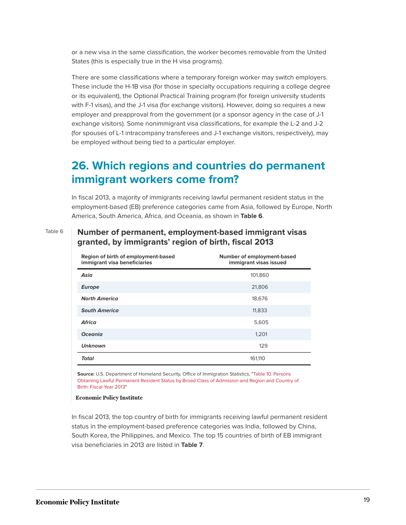or a new visa in the same classification, the worker becomes removable from the United States (this is especially true in the H visa programs).

There are some classifications where a temporary foreign worker may switch employers. These include the H-1B visa (for those in specialty occupations requiring a college degree or its equivalent), the Optional Practical Training program (for foreign university students with F-1 visas), and the J-1 visa (for exchange visitors). However, doing so requires a new employer and preapproval from the government (or a sponsor agency in the case of J-1 exchange visitors). Some nonimmigrant visa classifications, for example the L-2 and J-2 (for spouses of L-1 intracompany transferees and J-1 exchange visitors, respectively), may be employed without being tied to a particular employer.

### **26. Which regions and countries do permanent immigrant workers come from?**

In fiscal 2013, a majority of immigrants receiving lawful permanent resident status in the employment-based (EB) preference categories came from Asia, followed by Europe, North America, South America, Africa, and Oceania, as shown in **Table 6**.

### Table 6 **Number of permanent, employment-based immigrant visas granted, by immigrants' region of birth, fiscal 2013**

| Region of birth of employment-based<br>immigrant visa beneficiaries | Number of employment-based<br>immigrant visas issued |
|---------------------------------------------------------------------|------------------------------------------------------|
| Asia                                                                | 101,860                                              |
| <b>Europe</b>                                                       | 21,806                                               |
| <b>North America</b>                                                | 18,676                                               |
| <b>South America</b>                                                | 11,833                                               |
| <b>Africa</b>                                                       | 5,605                                                |
| <b>Oceania</b>                                                      | 1,201                                                |
| <b>Unknown</b>                                                      | 129                                                  |
| <b>Total</b>                                                        | 161,110                                              |

**Source:** U.S. Department of Homeland Security, Office of Immigration Statistics, "[Table 10. Persons](https://www.dhs.gov/sites/default/files/publications/immigration-statistics/yearbook/2013/LPR/table10d.xls) [Obtaining Lawful Permanent Resident Status by Broad Class of Admission and Region and Country of](https://www.dhs.gov/sites/default/files/publications/immigration-statistics/yearbook/2013/LPR/table10d.xls) [Birth: Fiscal Year 2013"](https://www.dhs.gov/sites/default/files/publications/immigration-statistics/yearbook/2013/LPR/table10d.xls)

**Economic Policy Institute** 

In fiscal 2013, the top country of birth for immigrants receiving lawful permanent resident status in the employment-based preference categories was India, followed by China, South Korea, the Philippines, and Mexico. The top 15 countries of birth of EB immigrant visa beneficiaries in 2013 are listed in **Table 7**.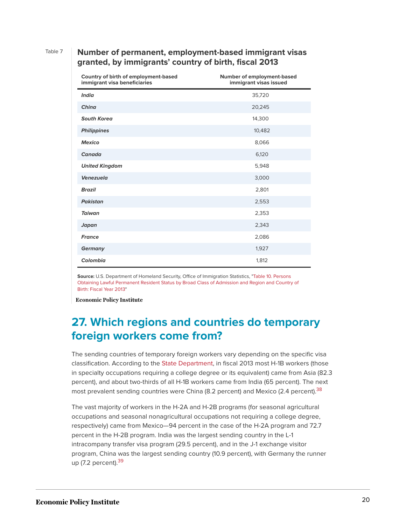### Table 7 **Number of permanent, employment-based immigrant visas granted, by immigrants' country of birth, fiscal 2013**

| Country of birth of employment-based<br>immigrant visa beneficiaries | Number of employment-based<br>immigrant visas issued |
|----------------------------------------------------------------------|------------------------------------------------------|
| <b>India</b>                                                         | 35,720                                               |
| China                                                                | 20,245                                               |
| <b>South Korea</b>                                                   | 14,300                                               |
| <b>Philippines</b>                                                   | 10,482                                               |
| <b>Mexico</b>                                                        | 8,066                                                |
| Canada                                                               | 6,120                                                |
| <b>United Kingdom</b>                                                | 5,948                                                |
| <b>Venezuela</b>                                                     | 3,000                                                |
| <b>Brazil</b>                                                        | 2,801                                                |
| <b>Pakistan</b>                                                      | 2,553                                                |
| <b>Taiwan</b>                                                        | 2,353                                                |
| Japan                                                                | 2,343                                                |
| <b>France</b>                                                        | 2,086                                                |
| <b>Germany</b>                                                       | 1,927                                                |
| Colombia                                                             | 1,812                                                |

**Source:** U.S. Department of Homeland Security, Office of Immigration Statistics, "[Table 10. Persons](https://www.dhs.gov/sites/default/files/publications/immigration-statistics/yearbook/2013/LPR/table10d.xls) [Obtaining Lawful Permanent Resident Status by Broad Class of Admission and Region and Country of](https://www.dhs.gov/sites/default/files/publications/immigration-statistics/yearbook/2013/LPR/table10d.xls) [Birth: Fiscal Year 2013"](https://www.dhs.gov/sites/default/files/publications/immigration-statistics/yearbook/2013/LPR/table10d.xls)

**Economic Policy Institute** 

### **27. Which regions and countries do temporary foreign workers come from?**

The sending countries of temporary foreign workers vary depending on the specific visa classification. According to the [State Department](http://travel.state.gov/content/visas/english/law-and-policy/statistics/non-immigrant-visas.html), in fiscal 2013 most H-1B workers (those in specialty occupations requiring a college degree or its equivalent) came from Asia (82.3 percent), and about two-thirds of all H-1B workers came from India (65 percent). The next most prevalent sending countries were China (8.2 percent) and Mexico (2.4 percent).  $38$ 

<span id="page-20-1"></span><span id="page-20-0"></span>The vast majority of workers in the H-2A and H-2B programs (for seasonal agricultural occupations and seasonal nonagricultural occupations not requiring a college degree, respectively) came from Mexico—94 percent in the case of the H-2A program and 72.7 percent in the H-2B program. India was the largest sending country in the L-1 intracompany transfer visa program (29.5 percent), and in the J-1 exchange visitor program, China was the largest sending country (10.9 percent), with Germany the runner up  $(7.2$  percent).  $39$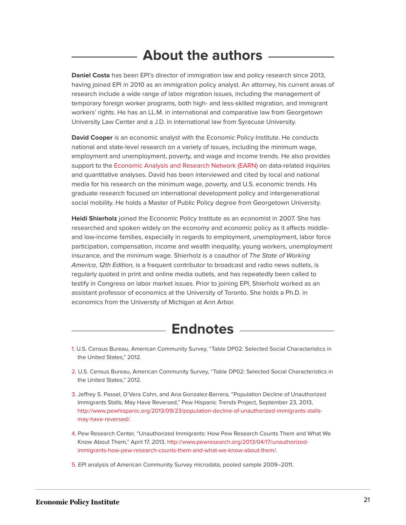## **About the authors**

**Daniel Costa** has been EPI's director of immigration law and policy research since 2013, having joined EPI in 2010 as an immigration policy analyst. An attorney, his current areas of research include a wide range of labor migration issues, including the management of temporary foreign worker programs, both high- and less-skilled migration, and immigrant workers' rights. He has an LL.M. in international and comparative law from Georgetown University Law Center and a J.D. in international law from Syracuse University.

**David Cooper** is an economic analyst with the Economic Policy Institute. He conducts national and state-level research on a variety of issues, including the minimum wage, employment and unemployment, poverty, and wage and income trends. He also provides support to the [Economic Analysis and Research Network \(EARN\)](http://www.earncentral.org/) on data-related inquiries and quantitative analyses. David has been interviewed and cited by local and national media for his research on the minimum wage, poverty, and U.S. economic trends. His graduate research focused on international development policy and intergenerational social mobility. He holds a Master of Public Policy degree from Georgetown University.

**Heidi Shierholz** joined the Economic Policy Institute as an economist in 2007. She has researched and spoken widely on the economy and economic policy as it affects middleand low-income families, especially in regards to employment, unemployment, labor force participation, compensation, income and wealth inequality, young workers, unemployment insurance, and the minimum wage. Shierholz is a coauthor of The State of Working America, 12th Edition, is a frequent contributor to broadcast and radio news outlets, is regularly quoted in print and online media outlets, and has repeatedly been called to testify in Congress on labor market issues. Prior to joining EPI, Shierholz worked as an assistant professor of economics at the University of Toronto. She holds a Ph.D. in economics from the University of Michigan at Ann Arbor.



- <span id="page-21-0"></span>[1.](#page-1-0) U.S. Census Bureau, American Community Survey, "Table DP02: Selected Social Characteristics in the United States," 2012.
- <span id="page-21-1"></span>[2.](#page-1-1) U.S. Census Bureau, American Community Survey, "Table DP02: Selected Social Characteristics in the United States," 2012.
- <span id="page-21-2"></span>[3.](#page-1-2) Jeffrey S. Passel, D'Vera Cohn, and Ana Gonzalez-Barrera, "Population Decline of Unauthorized Immigrants Stalls, May Have Reversed," Pew Hispanic Trends Project, September 23, 2013, [http://www.pewhispanic.org/2013/09/23/population-decline-of-unauthorized-immigrants-stalls](http://www.pewhispanic.org/2013/09/23/population-decline-of-unauthorized-immigrants-stalls-may-have-reversed/)[may-have-reversed/.](http://www.pewhispanic.org/2013/09/23/population-decline-of-unauthorized-immigrants-stalls-may-have-reversed/)
- <span id="page-21-3"></span>[4.](#page-1-3) Pew Research Center, "Unauthorized Immigrants: How Pew Research Counts Them and What We Know About Them," April 17, 2013, [http://www.pewresearch.org/2013/04/17/unauthorized](http://www.pewresearch.org/2013/04/17/unauthorized-immigrants-how-pew-research-counts-them-and-what-we-know-about-them/)[immigrants-how-pew-research-counts-them-and-what-we-know-about-them/](http://www.pewresearch.org/2013/04/17/unauthorized-immigrants-how-pew-research-counts-them-and-what-we-know-about-them/).
- <span id="page-21-4"></span>[5.](#page-2-0) EPI analysis of American Community Survey microdata, pooled sample 2009–2011.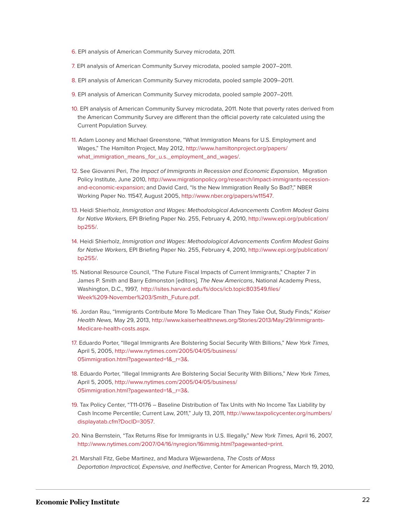- <span id="page-22-0"></span>[6.](#page-3-0) EPI analysis of American Community Survey microdata, 2011.
- <span id="page-22-1"></span>[7.](#page-3-1) EPI analysis of American Community Survey microdata, pooled sample 2007–2011.
- <span id="page-22-2"></span>[8.](#page-3-2) EPI analysis of American Community Survey microdata, pooled sample 2009–2011.
- <span id="page-22-3"></span>[9.](#page-3-3) EPI analysis of American Community Survey microdata, pooled sample 2007–2011.
- <span id="page-22-4"></span>[10.](#page-4-0) EPI analysis of American Community Survey microdata, 2011. Note that poverty rates derived from the American Community Survey are different than the official poverty rate calculated using the Current Population Survey.
- <span id="page-22-5"></span>[11.](#page-4-1) Adam Looney and Michael Greenstone, "What Immigration Means for U.S. Employment and Wages," The Hamilton Project, May 2012, [http://www.hamiltonproject.org/papers/](http://www.hamiltonproject.org/papers/what_immigration_means_for_u.s._employment_and_wages/) [what\\_immigration\\_means\\_for\\_u.s.\\_employment\\_and\\_wages/](http://www.hamiltonproject.org/papers/what_immigration_means_for_u.s._employment_and_wages/).
- <span id="page-22-6"></span>[12.](#page-4-2) See Giovanni Peri, The Impact of Immigrants in Recession and Economic Expansion, Migration Policy Institute, June 2010, [http://www.migrationpolicy.org/research/impact-immigrants-recession](http://www.migrationpolicy.org/research/impact-immigrants-recession-and-economic-expansion)[and-economic-expansion](http://www.migrationpolicy.org/research/impact-immigrants-recession-and-economic-expansion); and David Card, "Is the New Immigration Really So Bad?," NBER Working Paper No. 11547, August 2005, [http://www.nber.org/papers/w11547](https://www.nber.org/papers/w11547).
- <span id="page-22-7"></span>[13.](#page-5-0) Heidi Shierholz, Immigration and Wages: Methodological Advancements Confirm Modest Gains for Native Workers, EPI Briefing Paper No. 255, February 4, 2010, [http://www.epi.org/publication/](http://www.epi.org/publication/bp255/) [bp255/.](http://www.epi.org/publication/bp255/)
- <span id="page-22-8"></span>[14.](#page-6-0) Heidi Shierholz, Immigration and Wages: Methodological Advancements Confirm Modest Gains for Native Workers, EPI Briefing Paper No. 255, February 4, 2010, [http://www.epi.org/publication/](http://www.epi.org/publication/bp255/) [bp255/.](http://www.epi.org/publication/bp255/)
- <span id="page-22-9"></span>[15.](#page-7-0) National Resource Council, "The Future Fiscal Impacts of Current Immigrants," Chapter 7 in James P. Smith and Barry Edmonston [editors], The New Americans, National Academy Press, Washington, D.C., 1997, [http://isites.harvard.edu/fs/docs/icb.topic803549.files/](http://isites.harvard.edu/fs/docs/icb.topic803549.files/Week%209-November%203/Smith_Future.pdf) [Week%209-November%203/Smith\\_Future.pdf](http://isites.harvard.edu/fs/docs/icb.topic803549.files/Week%209-November%203/Smith_Future.pdf).
- <span id="page-22-10"></span>[16.](#page-7-1) Jordan Rau, "Immigrants Contribute More To Medicare Than They Take Out, Study Finds," Kaiser Health News, May 29, 2013, [http://www.kaiserhealthnews.org/Stories/2013/May/29/immigrants-](http://www.kaiserhealthnews.org/Stories/2013/May/29/immigrants-Medicare-health-costs.aspx)[Medicare-health-costs.aspx](http://www.kaiserhealthnews.org/Stories/2013/May/29/immigrants-Medicare-health-costs.aspx).
- <span id="page-22-11"></span>[17.](#page-8-0) Eduardo Porter, "Illegal Immigrants Are Bolstering Social Security With Billions," New York Times, April 5, 2005, [http://www.nytimes.com/2005/04/05/business/](http://www.nytimes.com/2005/04/05/business/05immigration.html?pagewanted=1&_r=3&) [05immigration.html?pagewanted=1&\\_r=3&](http://www.nytimes.com/2005/04/05/business/05immigration.html?pagewanted=1&_r=3&).
- <span id="page-22-12"></span>[18.](#page-8-1) Eduardo Porter, "Illegal Immigrants Are Bolstering Social Security With Billions," New York Times, April 5, 2005, [http://www.nytimes.com/2005/04/05/business/](http://www.nytimes.com/2005/04/05/business/05immigration.html?pagewanted=1&_r=3&) [05immigration.html?pagewanted=1&\\_r=3&](http://www.nytimes.com/2005/04/05/business/05immigration.html?pagewanted=1&_r=3&).
- <span id="page-22-13"></span>[19.](#page-8-2) Tax Policy Center, "T11-0176 – Baseline Distribution of Tax Units with No Income Tax Liability by Cash Income Percentile; Current Law, 2011," July 13, 2011, [http://www.taxpolicycenter.org/numbers/](http://www.taxpolicycenter.org/numbers/displayatab.cfm?DocID=3057) [displayatab.cfm?DocID=3057](http://www.taxpolicycenter.org/numbers/displayatab.cfm?DocID=3057).
- <span id="page-22-14"></span>[20.](#page-8-3) Nina Bernstein, "Tax Returns Rise for Immigrants in U.S. Illegally," New York Times, April 16, 2007, [http://www.nytimes.com/2007/04/16/nyregion/16immig.html?pagewanted=print.](http://www.nytimes.com/2007/04/16/nyregion/16immig.html?pagewanted=print)
- <span id="page-22-15"></span>[21.](#page-8-4) Marshall Fitz, Gebe Martinez, and Madura Wijewardena, The Costs of Mass Deportation Impractical, Expensive, and Ineffective, Center for American Progress, March 19, 2010,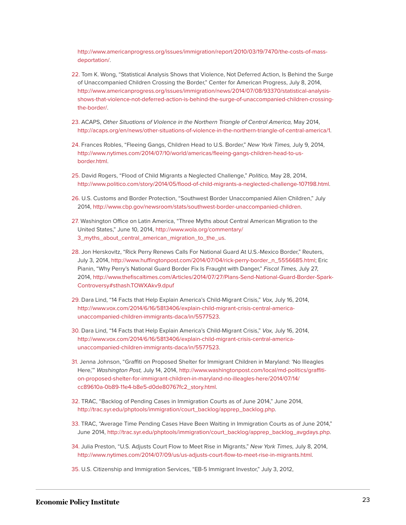[http://www.americanprogress.org/issues/immigration/report/2010/03/19/7470/the-costs-of-mass](http://www.americanprogress.org/issues/immigration/report/2010/03/19/7470/the-costs-of-mass-deportation/)[deportation/](http://www.americanprogress.org/issues/immigration/report/2010/03/19/7470/the-costs-of-mass-deportation/).

- <span id="page-23-0"></span>[22.](#page-9-0) Tom K. Wong, "Statistical Analysis Shows that Violence, Not Deferred Action, Is Behind the Surge of Unaccompanied Children Crossing the Border," Center for American Progress, July 8, 2014, [http://www.americanprogress.org/issues/immigration/news/2014/07/08/93370/statistical-analysis](http://www.americanprogress.org/issues/immigration/news/2014/07/08/93370/statistical-analysis-shows-that-violence-not-deferred-action-is-behind-the-surge-of-unaccompanied-children-crossing-the-border/)[shows-that-violence-not-deferred-action-is-behind-the-surge-of-unaccompanied-children-crossing](http://www.americanprogress.org/issues/immigration/news/2014/07/08/93370/statistical-analysis-shows-that-violence-not-deferred-action-is-behind-the-surge-of-unaccompanied-children-crossing-the-border/)[the-border/.](http://www.americanprogress.org/issues/immigration/news/2014/07/08/93370/statistical-analysis-shows-that-violence-not-deferred-action-is-behind-the-surge-of-unaccompanied-children-crossing-the-border/)
- <span id="page-23-1"></span>[23.](#page-9-1) ACAPS, Other Situations of Violence in the Northern Triangle of Central America, May 2014, <http://acaps.org/en/news/other-situations-of-violence-in-the-northern-triangle-of-central-america/1>.
- <span id="page-23-2"></span>[24.](#page-9-2) Frances Robles, "Fleeing Gangs, Children Head to U.S. Border," New York Times, July 9, 2014, [http://www.nytimes.com/2014/07/10/world/americas/fleeing-gangs-children-head-to-us](http://www.nytimes.com/2014/07/10/world/americas/fleeing-gangs-children-head-to-us-border.html)[border.html.](http://www.nytimes.com/2014/07/10/world/americas/fleeing-gangs-children-head-to-us-border.html)
- <span id="page-23-3"></span>[25.](#page-9-3) David Rogers, "Flood of Child Migrants a Neglected Challenge," Politico, May 28, 2014, <http://www.politico.com/story/2014/05/flood-of-child-migrants-a-neglected-challenge-107198.html>.
- <span id="page-23-4"></span>[26.](#page-10-0) U.S. Customs and Border Protection, "Southwest Border Unaccompanied Alien Children," July 2014, [http://www.cbp.gov/newsroom/stats/southwest-border-unaccompanied-children.](http://www.cbp.gov/newsroom/stats/southwest-border-unaccompanied-children)
- <span id="page-23-5"></span>[27.](#page-10-1) Washington Office on Latin America, "Three Myths about Central American Migration to the United States," June 10, 2014, [http://www.wola.org/commentary/](http://www.wola.org/commentary/3_myths_about_central_american_migration_to_the_us) [3\\_myths\\_about\\_central\\_american\\_migration\\_to\\_the\\_us.](http://www.wola.org/commentary/3_myths_about_central_american_migration_to_the_us)
- <span id="page-23-6"></span>[28.](#page-11-0) Jon Herskovitz, "Rick Perry Renews Calls For National Guard At U.S.-Mexico Border," Reuters, July 3, 2014, [http://www.huffingtonpost.com/2014/07/04/rick-perry-border\\_n\\_5556685.html;](http://www.huffingtonpost.com/2014/07/04/rick-perry-border_n_5556685.html) Eric Pianin, "Why Perry's National Guard Border Fix Is Fraught with Danger," Fiscal Times, July 27, 2014, [http://www.thefiscaltimes.com/Articles/2014/07/27/Plans-Send-National-Guard-Border-Spark-](http://www.thefiscaltimes.com/Articles/2014/07/27/Plans-Send-National-Guard-Border-Spark-Controversy#sthash.TOWXAkv9.dpuf)[Controversy#sthash.TOWXAkv9.dpuf](http://www.thefiscaltimes.com/Articles/2014/07/27/Plans-Send-National-Guard-Border-Spark-Controversy#sthash.TOWXAkv9.dpuf)
- <span id="page-23-7"></span>[29.](#page-11-1) Dara Lind, "14 Facts that Help Explain America's Child-Migrant Crisis," Vox, July 16, 2014, [http://www.vox.com/2014/6/16/5813406/explain-child-migrant-crisis-central-america](http://www.vox.com/2014/6/16/5813406/explain-child-migrant-crisis-central-america-unaccompanied-children-immigrants-daca/in/5577523)[unaccompanied-children-immigrants-daca/in/5577523](http://www.vox.com/2014/6/16/5813406/explain-child-migrant-crisis-central-america-unaccompanied-children-immigrants-daca/in/5577523).
- <span id="page-23-8"></span>[30.](#page-12-0) Dara Lind, "14 Facts that Help Explain America's Child-Migrant Crisis," Vox, July 16, 2014, [http://www.vox.com/2014/6/16/5813406/explain-child-migrant-crisis-central-america](http://www.vox.com/2014/6/16/5813406/explain-child-migrant-crisis-central-america-unaccompanied-children-immigrants-daca/in/5577523)[unaccompanied-children-immigrants-daca/in/5577523](http://www.vox.com/2014/6/16/5813406/explain-child-migrant-crisis-central-america-unaccompanied-children-immigrants-daca/in/5577523).
- <span id="page-23-9"></span>[31.](#page-12-1) Jenna Johnson, "Graffiti on Proposed Shelter for Immigrant Children in Maryland: 'No Illeagles Here,'" Washington Post, July 14, 2014, [http://www.washingtonpost.com/local/md-politics/graffiti](http://www.washingtonpost.com/local/md-politics/graffiti-on-proposed-shelter-for-immigrant-children-in-maryland-no-illeagles-here/2014/07/14/cc89610a-0b89-11e4-b8e5-d0de80767fc2_story.html)[on-proposed-shelter-for-immigrant-children-in-maryland-no-illeagles-here/2014/07/14/](http://www.washingtonpost.com/local/md-politics/graffiti-on-proposed-shelter-for-immigrant-children-in-maryland-no-illeagles-here/2014/07/14/cc89610a-0b89-11e4-b8e5-d0de80767fc2_story.html) [cc89610a-0b89-11e4-b8e5-d0de80767fc2\\_story.html.](http://www.washingtonpost.com/local/md-politics/graffiti-on-proposed-shelter-for-immigrant-children-in-maryland-no-illeagles-here/2014/07/14/cc89610a-0b89-11e4-b8e5-d0de80767fc2_story.html)
- <span id="page-23-10"></span>[32.](#page-12-2) TRAC, "Backlog of Pending Cases in Immigration Courts as of June 2014," June 2014, [http://trac.syr.edu/phptools/immigration/court\\_backlog/apprep\\_backlog.php.](http://trac.syr.edu/phptools/immigration/court_backlog/apprep_backlog.php)
- <span id="page-23-11"></span>[33.](#page-12-3) TRAC, "Average Time Pending Cases Have Been Waiting in Immigration Courts as of June 2014," June 2014, [http://trac.syr.edu/phptools/immigration/court\\_backlog/apprep\\_backlog\\_avgdays.php.](http://trac.syr.edu/phptools/immigration/court_backlog/apprep_backlog_avgdays.php)
- <span id="page-23-12"></span>[34.](#page-12-4) Julia Preston, "U.S. Adjusts Court Flow to Meet Rise in Migrants," New York Times, July 8, 2014, <http://www.nytimes.com/2014/07/09/us/us-adjusts-court-flow-to-meet-rise-in-migrants.html>.
- <span id="page-23-13"></span>[35.](#page-13-0) U.S. Citizenship and Immigration Services, "EB-5 Immigrant Investor," July 3, 2012,